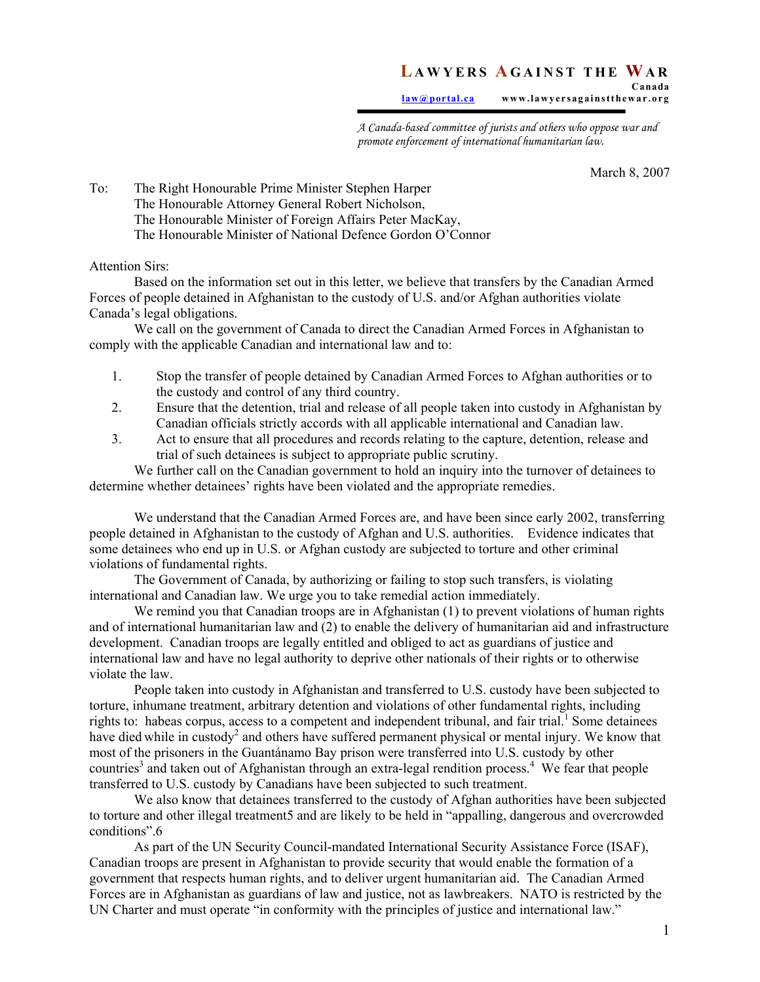## **L AWYERS A GAINST THE WA R Canada**

**law@portal.ca www.lawyersagainstthewar.org** 

*A Canada-based committee of jurists and others who oppose war and promote enforcement of international humanitarian law.* 

March 8, 2007

To: The Right Honourable Prime Minister Stephen Harper The Honourable Attorney General Robert Nicholson, The Honourable Minister of Foreign Affairs Peter MacKay, The Honourable Minister of National Defence Gordon O'Connor

Attention Sirs:

Based on the information set out in this letter, we believe that transfers by the Canadian Armed Forces of people detained in Afghanistan to the custody of U.S. and/or Afghan authorities violate Canada's legal obligations.

We call on the government of Canada to direct the Canadian Armed Forces in Afghanistan to comply with the applicable Canadian and international law and to:

- 1. Stop the transfer of people detained by Canadian Armed Forces to Afghan authorities or to the custody and control of any third country.
- 2. Ensure that the detention, trial and release of all people taken into custody in Afghanistan by Canadian officials strictly accords with all applicable international and Canadian law.
- 3. Act to ensure that all procedures and records relating to the capture, detention, release and trial of such detainees is subject to appropriate public scrutiny.

 We further call on the Canadian government to hold an inquiry into the turnover of detainees to determine whether detainees' rights have been violated and the appropriate remedies.

We understand that the Canadian Armed Forces are, and have been since early 2002, transferring people detained in Afghanistan to the custody of Afghan and U.S. authorities. Evidence indicates that some detainees who end up in U.S. or Afghan custody are subjected to torture and other criminal violations of fundamental rights.

The Government of Canada, by authorizing or failing to stop such transfers, is violating international and Canadian law. We urge you to take remedial action immediately.

We remind you that Canadian troops are in Afghanistan (1) to prevent violations of human rights and of international humanitarian law and (2) to enable the delivery of humanitarian aid and infrastructure development. Canadian troops are legally entitled and obliged to act as guardians of justice and international law and have no legal authority to deprive other nationals of their rights or to otherwise violate the law.

 People taken into custody in Afghanistan and transferred to U.S. custody have been subjected to torture, inhumane treatment, arbitrary detention and violations of other fundamental rights, including rights to: habeas corpus, access to a competent and independent tribunal, and fair trial.<sup>1</sup> Some detainees have died while in custody<sup>2</sup> and others have suffered permanent physical or mental injury. We know that most of the prisoners in the Guantánamo Bay prison were transferred into U.S. custody by other countries<sup>3</sup> and taken out of Afghanistan through an extra-legal rendition process.<sup>4</sup> We fear that people transferred to U.S. custody by Canadians have been subjected to such treatment.

 We also know that detainees transferred to the custody of Afghan authorities have been subjected to torture and other illegal treatment5 and are likely to be held in "appalling, dangerous and overcrowded conditions".6

As part of the UN Security Council-mandated International Security Assistance Force (ISAF), Canadian troops are present in Afghanistan to provide security that would enable the formation of a government that respects human rights, and to deliver urgent humanitarian aid. The Canadian Armed Forces are in Afghanistan as guardians of law and justice, not as lawbreakers. NATO is restricted by the UN Charter and must operate "in conformity with the principles of justice and international law."